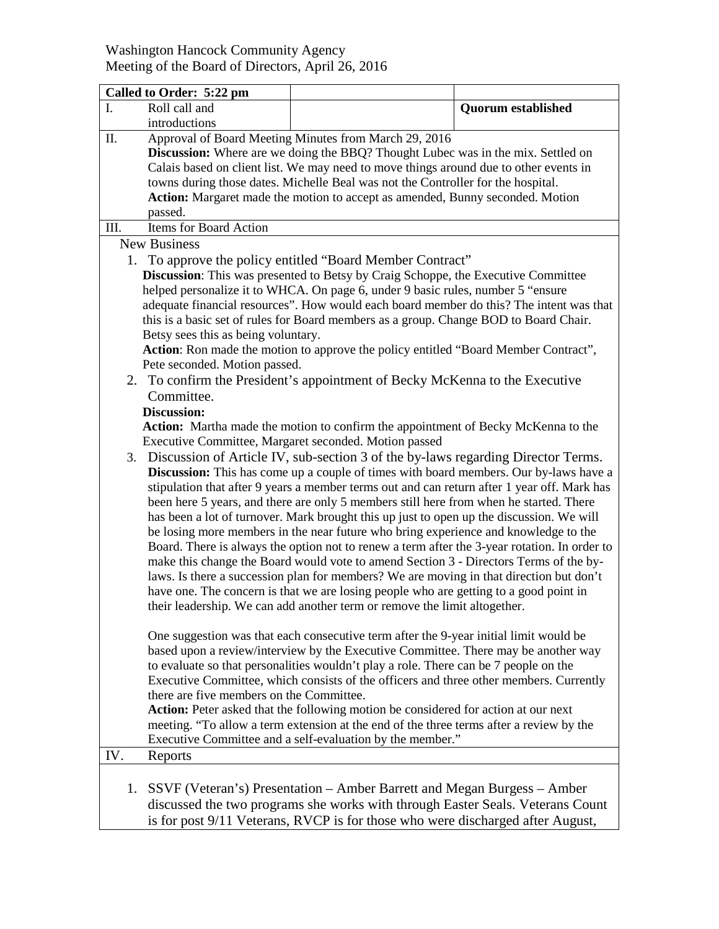## Washington Hancock Community Agency Meeting of the Board of Directors, April 26, 2016

| Called to Order: 5:22 pm                                                                                                                                                                                                                                                                                                                                                                                                        |                                                                                                                                                                                                                                                                                                                                                                                                                                                                                                                                                                                                                                                                                                                                                                                                                                                                                                                                                                                                                                                                                                                                                                                                                                                                                                                                                                                                                                                |                           |  |
|---------------------------------------------------------------------------------------------------------------------------------------------------------------------------------------------------------------------------------------------------------------------------------------------------------------------------------------------------------------------------------------------------------------------------------|------------------------------------------------------------------------------------------------------------------------------------------------------------------------------------------------------------------------------------------------------------------------------------------------------------------------------------------------------------------------------------------------------------------------------------------------------------------------------------------------------------------------------------------------------------------------------------------------------------------------------------------------------------------------------------------------------------------------------------------------------------------------------------------------------------------------------------------------------------------------------------------------------------------------------------------------------------------------------------------------------------------------------------------------------------------------------------------------------------------------------------------------------------------------------------------------------------------------------------------------------------------------------------------------------------------------------------------------------------------------------------------------------------------------------------------------|---------------------------|--|
| I.<br>Roll call and                                                                                                                                                                                                                                                                                                                                                                                                             |                                                                                                                                                                                                                                                                                                                                                                                                                                                                                                                                                                                                                                                                                                                                                                                                                                                                                                                                                                                                                                                                                                                                                                                                                                                                                                                                                                                                                                                | <b>Quorum established</b> |  |
| introductions                                                                                                                                                                                                                                                                                                                                                                                                                   |                                                                                                                                                                                                                                                                                                                                                                                                                                                                                                                                                                                                                                                                                                                                                                                                                                                                                                                                                                                                                                                                                                                                                                                                                                                                                                                                                                                                                                                |                           |  |
| Approval of Board Meeting Minutes from March 29, 2016<br>П.<br><b>Discussion:</b> Where are we doing the BBQ? Thought Lubec was in the mix. Settled on<br>Calais based on client list. We may need to move things around due to other events in<br>towns during those dates. Michelle Beal was not the Controller for the hospital.<br>Action: Margaret made the motion to accept as amended, Bunny seconded. Motion<br>passed. |                                                                                                                                                                                                                                                                                                                                                                                                                                                                                                                                                                                                                                                                                                                                                                                                                                                                                                                                                                                                                                                                                                                                                                                                                                                                                                                                                                                                                                                |                           |  |
| <b>Items for Board Action</b><br>III.                                                                                                                                                                                                                                                                                                                                                                                           |                                                                                                                                                                                                                                                                                                                                                                                                                                                                                                                                                                                                                                                                                                                                                                                                                                                                                                                                                                                                                                                                                                                                                                                                                                                                                                                                                                                                                                                |                           |  |
| <b>New Business</b>                                                                                                                                                                                                                                                                                                                                                                                                             |                                                                                                                                                                                                                                                                                                                                                                                                                                                                                                                                                                                                                                                                                                                                                                                                                                                                                                                                                                                                                                                                                                                                                                                                                                                                                                                                                                                                                                                |                           |  |
| Betsy sees this as being voluntary.<br>Pete seconded. Motion passed.<br>Committee.<br>Discussion:                                                                                                                                                                                                                                                                                                                               | 1. To approve the policy entitled "Board Member Contract"<br>Discussion: This was presented to Betsy by Craig Schoppe, the Executive Committee<br>helped personalize it to WHCA. On page 6, under 9 basic rules, number 5 "ensure<br>adequate financial resources". How would each board member do this? The intent was that<br>this is a basic set of rules for Board members as a group. Change BOD to Board Chair.<br>Action: Ron made the motion to approve the policy entitled "Board Member Contract",<br>2. To confirm the President's appointment of Becky McKenna to the Executive                                                                                                                                                                                                                                                                                                                                                                                                                                                                                                                                                                                                                                                                                                                                                                                                                                                    |                           |  |
|                                                                                                                                                                                                                                                                                                                                                                                                                                 | Action: Martha made the motion to confirm the appointment of Becky McKenna to the<br>Executive Committee, Margaret seconded. Motion passed<br>3. Discussion of Article IV, sub-section 3 of the by-laws regarding Director Terms.<br><b>Discussion:</b> This has come up a couple of times with board members. Our by-laws have a<br>stipulation that after 9 years a member terms out and can return after 1 year off. Mark has<br>been here 5 years, and there are only 5 members still here from when he started. There<br>has been a lot of turnover. Mark brought this up just to open up the discussion. We will<br>be losing more members in the near future who bring experience and knowledge to the<br>Board. There is always the option not to renew a term after the 3-year rotation. In order to<br>make this change the Board would vote to amend Section 3 - Directors Terms of the by-<br>laws. Is there a succession plan for members? We are moving in that direction but don't<br>have one. The concern is that we are losing people who are getting to a good point in<br>their leadership. We can add another term or remove the limit altogether.<br>One suggestion was that each consecutive term after the 9-year initial limit would be<br>based upon a review/interview by the Executive Committee. There may be another way<br>to evaluate so that personalities wouldn't play a role. There can be 7 people on the |                           |  |
| there are five members on the Committee.                                                                                                                                                                                                                                                                                                                                                                                        | Executive Committee, which consists of the officers and three other members. Currently<br>Action: Peter asked that the following motion be considered for action at our next<br>meeting. "To allow a term extension at the end of the three terms after a review by the<br>Executive Committee and a self-evaluation by the member."                                                                                                                                                                                                                                                                                                                                                                                                                                                                                                                                                                                                                                                                                                                                                                                                                                                                                                                                                                                                                                                                                                           |                           |  |
| IV.<br>Reports                                                                                                                                                                                                                                                                                                                                                                                                                  |                                                                                                                                                                                                                                                                                                                                                                                                                                                                                                                                                                                                                                                                                                                                                                                                                                                                                                                                                                                                                                                                                                                                                                                                                                                                                                                                                                                                                                                |                           |  |
|                                                                                                                                                                                                                                                                                                                                                                                                                                 | 1. SSVF (Veteran's) Presentation – Amber Barrett and Megan Burgess – Amber<br>discussed the two programs she works with through Easter Seals. Veterans Count<br>is for post 9/11 Veterans, RVCP is for those who were discharged after August,                                                                                                                                                                                                                                                                                                                                                                                                                                                                                                                                                                                                                                                                                                                                                                                                                                                                                                                                                                                                                                                                                                                                                                                                 |                           |  |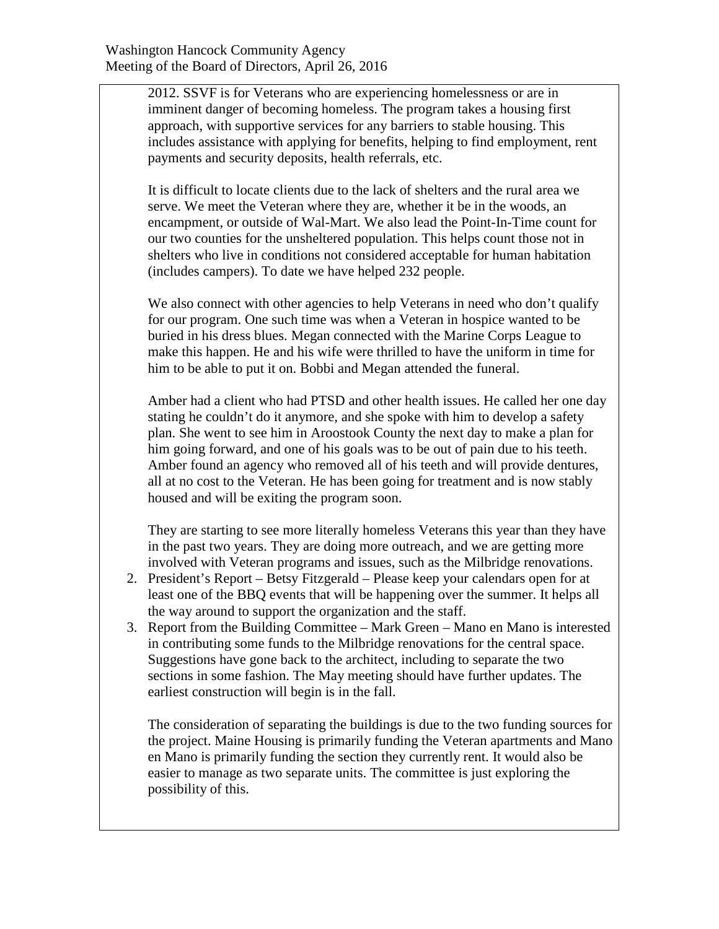2012. SSVF is for Veterans who are experiencing homelessness or are in imminent danger of becoming homeless. The program takes a housing first approach, with supportive services for any barriers to stable housing. This includes assistance with applying for benefits, helping to find employment, rent payments and security deposits, health referrals, etc.

It is difficult to locate clients due to the lack of shelters and the rural area we serve. We meet the Veteran where they are, whether it be in the woods, an encampment, or outside of Wal-Mart. We also lead the Point-In-Time count for our two counties for the unsheltered population. This helps count those not in shelters who live in conditions not considered acceptable for human habitation (includes campers). To date we have helped 232 people.

We also connect with other agencies to help Veterans in need who don't qualify for our program. One such time was when a Veteran in hospice wanted to be buried in his dress blues. Megan connected with the Marine Corps League to make this happen. He and his wife were thrilled to have the uniform in time for him to be able to put it on. Bobbi and Megan attended the funeral.

Amber had a client who had PTSD and other health issues. He called her one day stating he couldn't do it anymore, and she spoke with him to develop a safety plan. She went to see him in Aroostook County the next day to make a plan for him going forward, and one of his goals was to be out of pain due to his teeth. Amber found an agency who removed all of his teeth and will provide dentures, all at no cost to the Veteran. He has been going for treatment and is now stably housed and will be exiting the program soon.

They are starting to see more literally homeless Veterans this year than they have in the past two years. They are doing more outreach, and we are getting more involved with Veteran programs and issues, such as the Milbridge renovations.

- 2. President's Report Betsy Fitzgerald Please keep your calendars open for at least one of the BBQ events that will be happening over the summer. It helps all the way around to support the organization and the staff.
- 3. Report from the Building Committee Mark Green Mano en Mano is interested in contributing some funds to the Milbridge renovations for the central space. Suggestions have gone back to the architect, including to separate the two sections in some fashion. The May meeting should have further updates. The earliest construction will begin is in the fall.

The consideration of separating the buildings is due to the two funding sources for the project. Maine Housing is primarily funding the Veteran apartments and Mano en Mano is primarily funding the section they currently rent. It would also be easier to manage as two separate units. The committee is just exploring the possibility of this.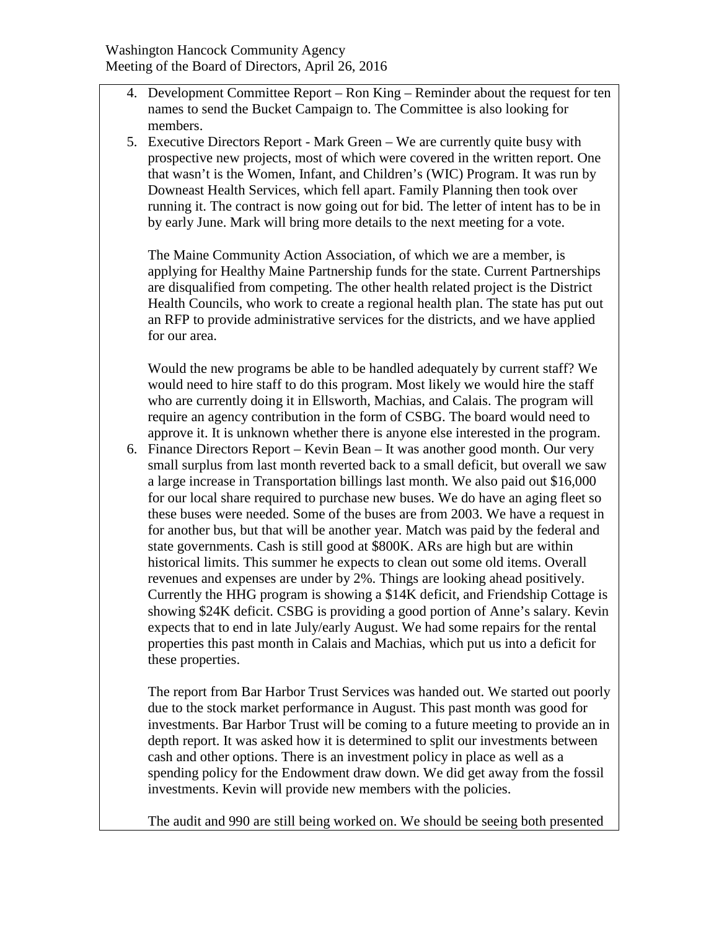- 4. Development Committee Report Ron King Reminder about the request for ten names to send the Bucket Campaign to. The Committee is also looking for members.
- 5. Executive Directors Report Mark Green We are currently quite busy with prospective new projects, most of which were covered in the written report. One that wasn't is the Women, Infant, and Children's (WIC) Program. It was run by Downeast Health Services, which fell apart. Family Planning then took over running it. The contract is now going out for bid. The letter of intent has to be in by early June. Mark will bring more details to the next meeting for a vote.

The Maine Community Action Association, of which we are a member, is applying for Healthy Maine Partnership funds for the state. Current Partnerships are disqualified from competing. The other health related project is the District Health Councils, who work to create a regional health plan. The state has put out an RFP to provide administrative services for the districts, and we have applied for our area.

Would the new programs be able to be handled adequately by current staff? We would need to hire staff to do this program. Most likely we would hire the staff who are currently doing it in Ellsworth, Machias, and Calais. The program will require an agency contribution in the form of CSBG. The board would need to approve it. It is unknown whether there is anyone else interested in the program.

6. Finance Directors Report – Kevin Bean – It was another good month. Our very small surplus from last month reverted back to a small deficit, but overall we saw a large increase in Transportation billings last month. We also paid out \$16,000 for our local share required to purchase new buses. We do have an aging fleet so these buses were needed. Some of the buses are from 2003. We have a request in for another bus, but that will be another year. Match was paid by the federal and state governments. Cash is still good at \$800K. ARs are high but are within historical limits. This summer he expects to clean out some old items. Overall revenues and expenses are under by 2%. Things are looking ahead positively. Currently the HHG program is showing a \$14K deficit, and Friendship Cottage is showing \$24K deficit. CSBG is providing a good portion of Anne's salary. Kevin expects that to end in late July/early August. We had some repairs for the rental properties this past month in Calais and Machias, which put us into a deficit for these properties.

The report from Bar Harbor Trust Services was handed out. We started out poorly due to the stock market performance in August. This past month was good for investments. Bar Harbor Trust will be coming to a future meeting to provide an in depth report. It was asked how it is determined to split our investments between cash and other options. There is an investment policy in place as well as a spending policy for the Endowment draw down. We did get away from the fossil investments. Kevin will provide new members with the policies.

The audit and 990 are still being worked on. We should be seeing both presented